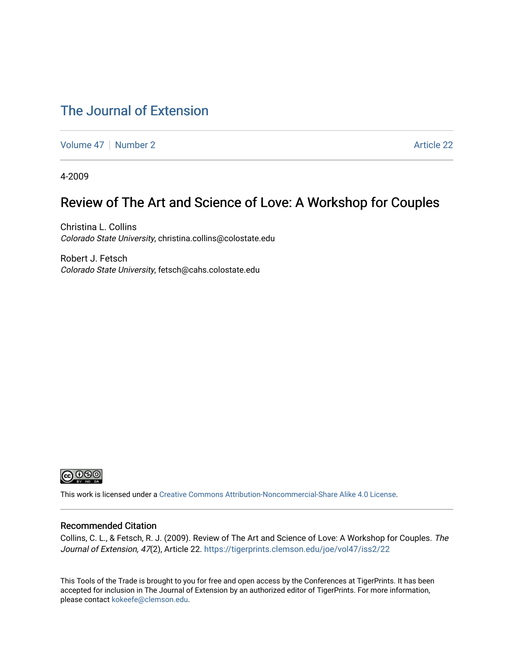### [The Journal of Extension](https://tigerprints.clemson.edu/joe)

[Volume 47](https://tigerprints.clemson.edu/joe/vol47) | [Number 2](https://tigerprints.clemson.edu/joe/vol47/iss2) Article 22

4-2009

### Review of The Art and Science of Love: A Workshop for Couples

Christina L. Collins Colorado State University, christina.collins@colostate.edu

Robert J. Fetsch Colorado State University, fetsch@cahs.colostate.edu



This work is licensed under a [Creative Commons Attribution-Noncommercial-Share Alike 4.0 License.](https://creativecommons.org/licenses/by-nc-sa/4.0/)

#### Recommended Citation

Collins, C. L., & Fetsch, R. J. (2009). Review of The Art and Science of Love: A Workshop for Couples. The Journal of Extension, 47(2), Article 22.<https://tigerprints.clemson.edu/joe/vol47/iss2/22>

This Tools of the Trade is brought to you for free and open access by the Conferences at TigerPrints. It has been accepted for inclusion in The Journal of Extension by an authorized editor of TigerPrints. For more information, please contact [kokeefe@clemson.edu](mailto:kokeefe@clemson.edu).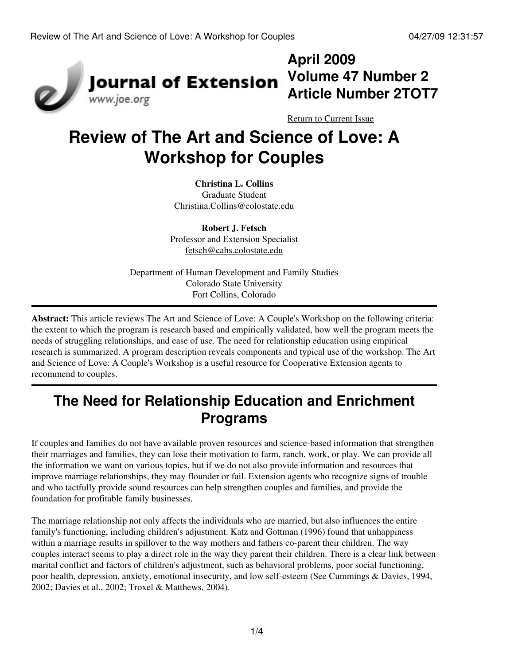

# **April 2009 Article Number 2TOT7**

[Return to Current Issue](http://www.joe.org:80/joe/2009april/)

# **Review of The Art and Science of Love: A Workshop for Couples**

**Christina L. Collins** Graduate Student [Christina.Collins@colostate.edu](mailto:Christina.Collins@colostate.edu)

**Robert J. Fetsch** Professor and Extension Specialist [fetsch@cahs.colostate.edu](mailto:fetsch@cahs.colostate.edu)

Department of Human Development and Family Studies Colorado State University Fort Collins, Colorado

**Abstract:** This article reviews The Art and Science of Love: A Couple's Workshop on the following criteria: the extent to which the program is research based and empirically validated, how well the program meets the needs of struggling relationships, and ease of use. The need for relationship education using empirical research is summarized. A program description reveals components and typical use of the workshop. The Art and Science of Love: A Couple's Workshop is a useful resource for Cooperative Extension agents to recommend to couples.

## **The Need for Relationship Education and Enrichment Programs**

If couples and families do not have available proven resources and science-based information that strengthen their marriages and families, they can lose their motivation to farm, ranch, work, or play. We can provide all the information we want on various topics, but if we do not also provide information and resources that improve marriage relationships, they may flounder or fail. Extension agents who recognize signs of trouble and who tactfully provide sound resources can help strengthen couples and families, and provide the foundation for profitable family businesses.

The marriage relationship not only affects the individuals who are married, but also influences the entire family's functioning, including children's adjustment. Katz and Gottman (1996) found that unhappiness within a marriage results in spillover to the way mothers and fathers co-parent their children. The way couples interact seems to play a direct role in the way they parent their children. There is a clear link between marital conflict and factors of children's adjustment, such as behavioral problems, poor social functioning, poor health, depression, anxiety, emotional insecurity, and low self-esteem (See Cummings & Davies, 1994, 2002; Davies et al., 2002; Troxel & Matthews, 2004).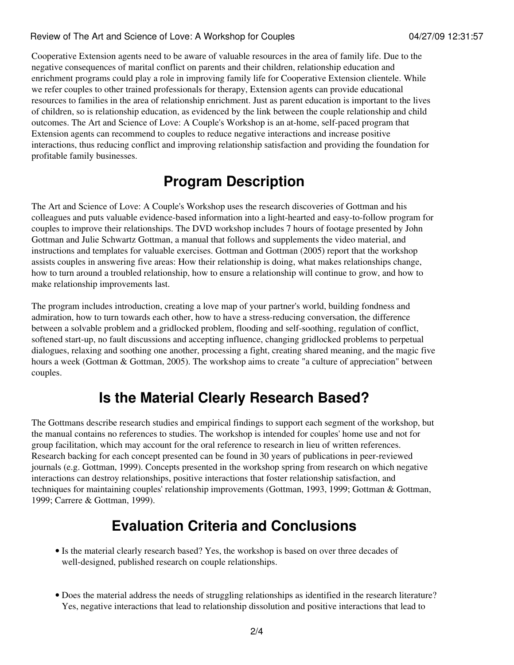#### Review of The Art and Science of Love: A Workshop for Couples 04/27/09 12:31:57

Cooperative Extension agents need to be aware of valuable resources in the area of family life. Due to the negative consequences of marital conflict on parents and their children, relationship education and enrichment programs could play a role in improving family life for Cooperative Extension clientele. While we refer couples to other trained professionals for therapy, Extension agents can provide educational resources to families in the area of relationship enrichment. Just as parent education is important to the lives of children, so is relationship education, as evidenced by the link between the couple relationship and child outcomes. The Art and Science of Love: A Couple's Workshop is an at-home, self-paced program that Extension agents can recommend to couples to reduce negative interactions and increase positive interactions, thus reducing conflict and improving relationship satisfaction and providing the foundation for profitable family businesses.

### **Program Description**

The Art and Science of Love: A Couple's Workshop uses the research discoveries of Gottman and his colleagues and puts valuable evidence-based information into a light-hearted and easy-to-follow program for couples to improve their relationships. The DVD workshop includes 7 hours of footage presented by John Gottman and Julie Schwartz Gottman, a manual that follows and supplements the video material, and instructions and templates for valuable exercises. Gottman and Gottman (2005) report that the workshop assists couples in answering five areas: How their relationship is doing, what makes relationships change, how to turn around a troubled relationship, how to ensure a relationship will continue to grow, and how to make relationship improvements last.

The program includes introduction, creating a love map of your partner's world, building fondness and admiration, how to turn towards each other, how to have a stress-reducing conversation, the difference between a solvable problem and a gridlocked problem, flooding and self-soothing, regulation of conflict, softened start-up, no fault discussions and accepting influence, changing gridlocked problems to perpetual dialogues, relaxing and soothing one another, processing a fight, creating shared meaning, and the magic five hours a week (Gottman & Gottman, 2005). The workshop aims to create "a culture of appreciation" between couples.

### **Is the Material Clearly Research Based?**

The Gottmans describe research studies and empirical findings to support each segment of the workshop, but the manual contains no references to studies. The workshop is intended for couples' home use and not for group facilitation, which may account for the oral reference to research in lieu of written references. Research backing for each concept presented can be found in 30 years of publications in peer-reviewed journals (e.g. Gottman, 1999). Concepts presented in the workshop spring from research on which negative interactions can destroy relationships, positive interactions that foster relationship satisfaction, and techniques for maintaining couples' relationship improvements (Gottman, 1993, 1999; Gottman & Gottman, 1999; Carrere & Gottman, 1999).

### **Evaluation Criteria and Conclusions**

- Is the material clearly research based? Yes, the workshop is based on over three decades of well-designed, published research on couple relationships.
- Does the material address the needs of struggling relationships as identified in the research literature? Yes, negative interactions that lead to relationship dissolution and positive interactions that lead to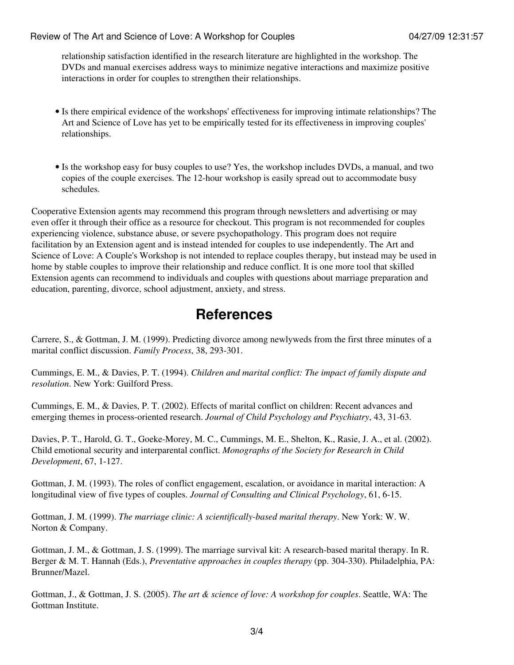relationship satisfaction identified in the research literature are highlighted in the workshop. The DVDs and manual exercises address ways to minimize negative interactions and maximize positive interactions in order for couples to strengthen their relationships.

- Is there empirical evidence of the workshops' effectiveness for improving intimate relationships? The Art and Science of Love has yet to be empirically tested for its effectiveness in improving couples' relationships.
- Is the workshop easy for busy couples to use? Yes, the workshop includes DVDs, a manual, and two copies of the couple exercises. The 12-hour workshop is easily spread out to accommodate busy schedules.

Cooperative Extension agents may recommend this program through newsletters and advertising or may even offer it through their office as a resource for checkout. This program is not recommended for couples experiencing violence, substance abuse, or severe psychopathology. This program does not require facilitation by an Extension agent and is instead intended for couples to use independently. The Art and Science of Love: A Couple's Workshop is not intended to replace couples therapy, but instead may be used in home by stable couples to improve their relationship and reduce conflict. It is one more tool that skilled Extension agents can recommend to individuals and couples with questions about marriage preparation and education, parenting, divorce, school adjustment, anxiety, and stress.

### **References**

Carrere, S., & Gottman, J. M. (1999). Predicting divorce among newlyweds from the first three minutes of a marital conflict discussion. *Family Process*, 38, 293-301.

Cummings, E. M., & Davies, P. T. (1994). *Children and marital conflict: The impact of family dispute and resolution*. New York: Guilford Press.

Cummings, E. M., & Davies, P. T. (2002). Effects of marital conflict on children: Recent advances and emerging themes in process-oriented research. *Journal of Child Psychology and Psychiatry*, 43, 31-63.

Davies, P. T., Harold, G. T., Goeke-Morey, M. C., Cummings, M. E., Shelton, K., Rasie, J. A., et al. (2002). Child emotional security and interparental conflict. *Monographs of the Society for Research in Child Development*, 67, 1-127.

Gottman, J. M. (1993). The roles of conflict engagement, escalation, or avoidance in marital interaction: A longitudinal view of five types of couples. *Journal of Consulting and Clinical Psychology*, 61, 6-15.

Gottman, J. M. (1999). *The marriage clinic: A scientifically-based marital therapy*. New York: W. W. Norton & Company.

Gottman, J. M., & Gottman, J. S. (1999). The marriage survival kit: A research-based marital therapy. In R. Berger & M. T. Hannah (Eds.), *Preventative approaches in couples therapy* (pp. 304-330). Philadelphia, PA: Brunner/Mazel.

Gottman, J., & Gottman, J. S. (2005). *The art & science of love: A workshop for couples*. Seattle, WA: The Gottman Institute.